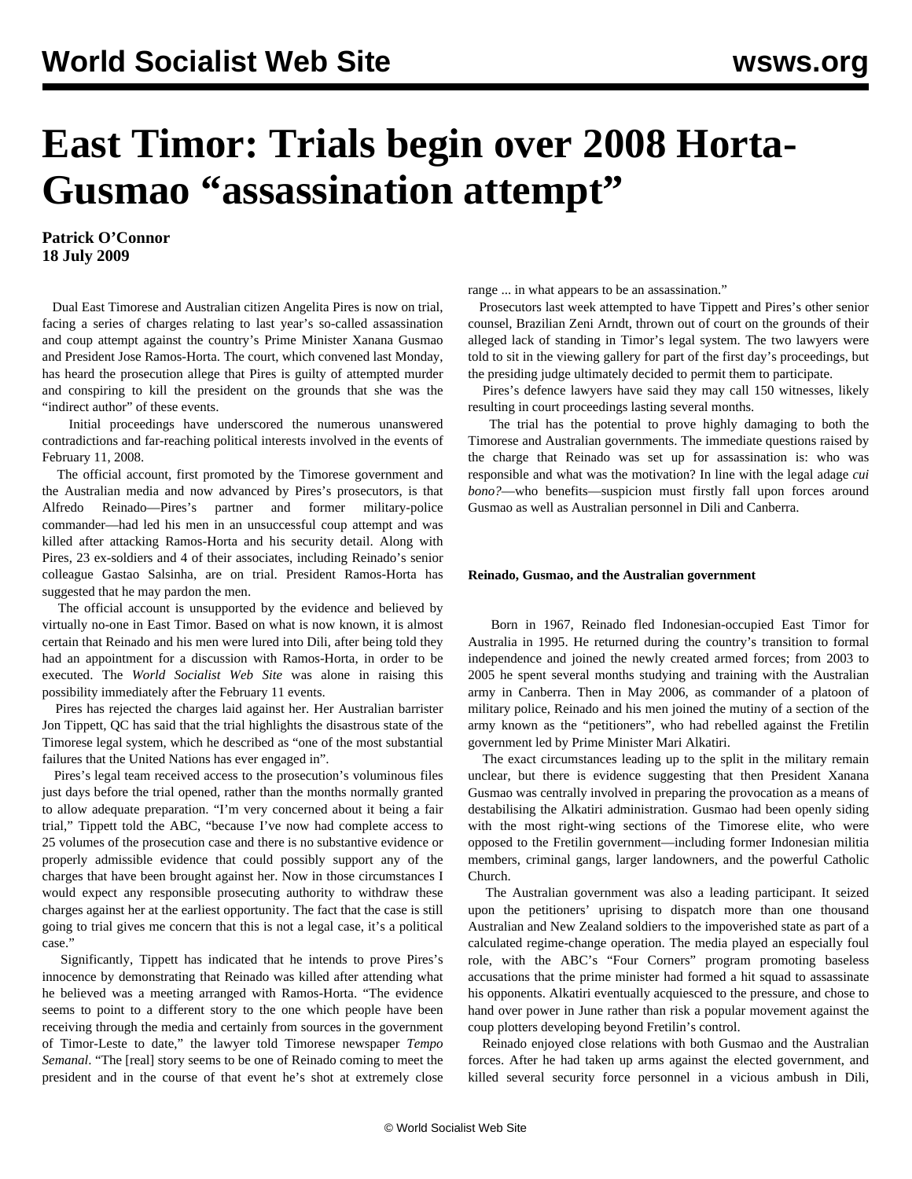## **East Timor: Trials begin over 2008 Horta-Gusmao "assassination attempt"**

**Patrick O'Connor 18 July 2009**

 Dual East Timorese and Australian citizen Angelita Pires is now on trial, facing a series of charges relating to last year's so-called assassination and coup attempt against the country's Prime Minister Xanana Gusmao and President Jose Ramos-Horta. The court, which convened last Monday, has heard the prosecution allege that Pires is guilty of attempted murder and conspiring to kill the president on the grounds that she was the "indirect author" of these events.

 Initial proceedings have underscored the numerous unanswered contradictions and far-reaching political interests involved in the events of February 11, 2008.

 The official account, first promoted by the Timorese government and the Australian media and now advanced by Pires's prosecutors, is that Alfredo Reinado—Pires's partner and former military-police commander—had led his men in an unsuccessful coup attempt and was killed after attacking Ramos-Horta and his security detail. Along with Pires, 23 ex-soldiers and 4 of their associates, including Reinado's senior colleague Gastao Salsinha, are on trial. President Ramos-Horta has suggested that he may pardon the men.

 The official account is unsupported by the evidence and believed by virtually no-one in East Timor. Based on what is now known, it is almost certain that Reinado and his men were lured into Dili, after being told they had an appointment for a discussion with Ramos-Horta, in order to be executed. The *World Socialist Web Site* was alone in raising this possibility immediately after the February 11 events.

 Pires has rejected the charges laid against her. Her Australian barrister Jon Tippett, QC has said that the trial highlights the disastrous state of the Timorese legal system, which he described as "one of the most substantial failures that the United Nations has ever engaged in".

 Pires's legal team received access to the prosecution's voluminous files just days before the trial opened, rather than the months normally granted to allow adequate preparation. "I'm very concerned about it being a fair trial," Tippett told the ABC, "because I've now had complete access to 25 volumes of the prosecution case and there is no substantive evidence or properly admissible evidence that could possibly support any of the charges that have been brought against her. Now in those circumstances I would expect any responsible prosecuting authority to withdraw these charges against her at the earliest opportunity. The fact that the case is still going to trial gives me concern that this is not a legal case, it's a political case."

 Significantly, Tippett has indicated that he intends to prove Pires's innocence by demonstrating that Reinado was killed after attending what he believed was a meeting arranged with Ramos-Horta. "The evidence seems to point to a different story to the one which people have been receiving through the media and certainly from sources in the government of Timor-Leste to date," the lawyer told Timorese newspaper *Tempo Semanal*. "The [real] story seems to be one of Reinado coming to meet the president and in the course of that event he's shot at extremely close range ... in what appears to be an assassination."

 Prosecutors last week attempted to have Tippett and Pires's other senior counsel, Brazilian Zeni Arndt, thrown out of court on the grounds of their alleged lack of standing in Timor's legal system. The two lawyers were told to sit in the viewing gallery for part of the first day's proceedings, but the presiding judge ultimately decided to permit them to participate.

 Pires's defence lawyers have said they may call 150 witnesses, likely resulting in court proceedings lasting several months.

 The trial has the potential to prove highly damaging to both the Timorese and Australian governments. The immediate questions raised by the charge that Reinado was set up for assassination is: who was responsible and what was the motivation? In line with the legal adage *cui bono?*—who benefits—suspicion must firstly fall upon forces around Gusmao as well as Australian personnel in Dili and Canberra.

## **Reinado, Gusmao, and the Australian government**

 Born in 1967, Reinado fled Indonesian-occupied East Timor for Australia in 1995. He returned during the country's transition to formal independence and joined the newly created armed forces; from 2003 to 2005 he spent several months studying and training with the Australian army in Canberra. Then in May 2006, as commander of a platoon of military police, Reinado and his men joined the mutiny of a section of the army known as the "petitioners", who had rebelled against the Fretilin government led by Prime Minister Mari Alkatiri.

 The exact circumstances leading up to the split in the military remain unclear, but there is evidence suggesting that then President Xanana Gusmao was centrally involved in preparing the provocation as a means of destabilising the Alkatiri administration. Gusmao had been openly siding with the most right-wing sections of the Timorese elite, who were opposed to the Fretilin government—including former Indonesian militia members, criminal gangs, larger landowners, and the powerful Catholic Church.

 The Australian government was also a leading participant. It seized upon the petitioners' uprising to dispatch more than one thousand Australian and New Zealand soldiers to the impoverished state as part of a calculated regime-change operation. The media played an especially foul role, with the ABC's "Four Corners" program promoting baseless accusations that the prime minister had formed a hit squad to assassinate his opponents. Alkatiri eventually acquiesced to the pressure, and chose to hand over power in June rather than risk a popular movement against the coup plotters developing beyond Fretilin's control.

 Reinado enjoyed close relations with both Gusmao and the Australian forces. After he had taken up arms against the elected government, and killed several security force personnel in a vicious ambush in Dili,